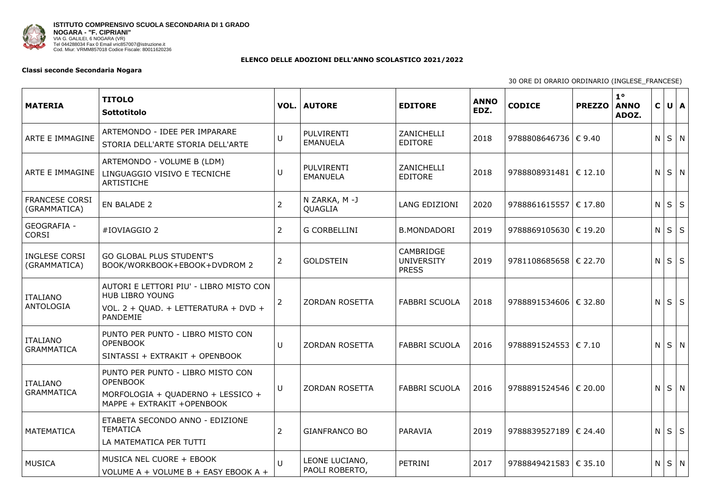

## **ELENCO DELLE ADOZIONI DELL'ANNO SCOLASTICO 2021/2022**

## **Classi seconde Secondaria Nogara**

30 ORE D

| <b>MATERIA</b>                        | <b>TITOLO</b><br>Sottotitolo                                                                                             |                | <b>VOL.   AUTORE</b>             | <b>EDITORE</b>                                        | <b>ANNO</b><br>EDZ. | <b>CODICE</b>           | <b>PREZZO</b> | $1^{\circ}$<br><b>ANNO</b><br>ADOZ. | $\mathsf{C}$   | U   A           |  |
|---------------------------------------|--------------------------------------------------------------------------------------------------------------------------|----------------|----------------------------------|-------------------------------------------------------|---------------------|-------------------------|---------------|-------------------------------------|----------------|-----------------|--|
| ARTE E IMMAGINE                       | ARTEMONDO - IDEE PER IMPARARE<br>STORIA DELL'ARTE STORIA DELL'ARTE                                                       |                | PULVIRENTI<br><b>EMANUELA</b>    | <b>ZANICHELLI</b><br><b>EDITORE</b>                   | 2018                | 9788808646736   € 9.40  |               |                                     |                | $N$ $S$ $N$     |  |
| ARTE E IMMAGINE                       | ARTEMONDO - VOLUME B (LDM)<br>LINGUAGGIO VISIVO E TECNICHE<br><b>ARTISTICHE</b>                                          | U              | PULVIRENTI<br><b>EMANUELA</b>    | ZANICHELLI<br><b>EDITORE</b>                          | 2018                | 9788808931481  € 12.10  |               |                                     |                | $N$ $S$ $N$     |  |
| <b>FRANCESE CORSI</b><br>(GRAMMATICA) | EN BALADE 2                                                                                                              | $\overline{2}$ | N ZARKA, M-J<br>QUAGLIA          | <b>LANG EDIZIONI</b>                                  | 2020                | 9788861615557 € 17.80   |               |                                     |                | $N$ $S$ $S$     |  |
| <b>GEOGRAFIA -</b><br><b>CORSI</b>    | #IOVIAGGIO 2                                                                                                             | 2              | <b>G CORBELLINI</b>              | <b>B.MONDADORI</b>                                    | 2019                | 9788869105630 € 19.20   |               |                                     |                | $N$ $S$ $S$     |  |
| <b>INGLESE CORSI</b><br>(GRAMMATICA)  | <b>GO GLOBAL PLUS STUDENT'S</b><br>BOOK/WORKBOOK+EBOOK+DVDROM 2                                                          | $\overline{2}$ | <b>GOLDSTEIN</b>                 | <b>CAMBRIDGE</b><br><b>UNIVERSITY</b><br><b>PRESS</b> | 2019                | 9781108685658   € 22.70 |               |                                     |                | $N$ $S$ $S$     |  |
| ITALIANO<br>ANTOLOGIA                 | AUTORI E LETTORI PIU' - LIBRO MISTO CON<br><b>HUB LIBRO YOUNG</b><br>VOL. 2 + QUAD. + LETTERATURA + DVD +<br>PANDEMIE    | $\overline{2}$ | <b>ZORDAN ROSETTA</b>            | <b>FABBRI SCUOLA</b>                                  | 2018                | 9788891534606 € 32.80   |               |                                     | N              | $S \mid S \mid$ |  |
| <b>ITALIANO</b><br><b>GRAMMATICA</b>  | PUNTO PER PUNTO - LIBRO MISTO CON<br><b>OPENBOOK</b><br>SINTASSI + EXTRAKIT + OPENBOOK                                   | U              | <b>ZORDAN ROSETTA</b>            | <b>FABBRI SCUOLA</b>                                  | 2016                | 9788891524553   € 7.10  |               |                                     | N <sub>1</sub> | $S \mid N$      |  |
| <b>ITALIANO</b><br><b>GRAMMATICA</b>  | PUNTO PER PUNTO - LIBRO MISTO CON<br><b>OPENBOOK</b><br>MORFOLOGIA + QUADERNO + LESSICO +<br>MAPPE + EXTRAKIT + OPENBOOK | U              | <b>ZORDAN ROSETTA</b>            | <b>FABBRI SCUOLA</b>                                  | 2016                | 9788891524546 € 20.00   |               |                                     |                | $N$ $S$ $N$     |  |
| MATEMATICA                            | ETABETA SECONDO ANNO - EDIZIONE<br><b>TEMATICA</b><br>LA MATEMATICA PER TUTTI                                            | 2              | <b>GIANFRANCO BO</b>             | PARAVIA                                               | 2019                | 9788839527189   € 24.40 |               |                                     | N              | $S \mid S \mid$ |  |
| <b>MUSICA</b>                         | MUSICA NEL CUORE + EBOOK<br>VOLUME A + VOLUME B + EASY EBOOK A +                                                         | $\mathbf{U}$   | LEONE LUCIANO,<br>PAOLI ROBERTO, | PETRINI                                               | 2017                | 9788849421583   € 35.10 |               |                                     |                | $N$ $S$ $N$     |  |